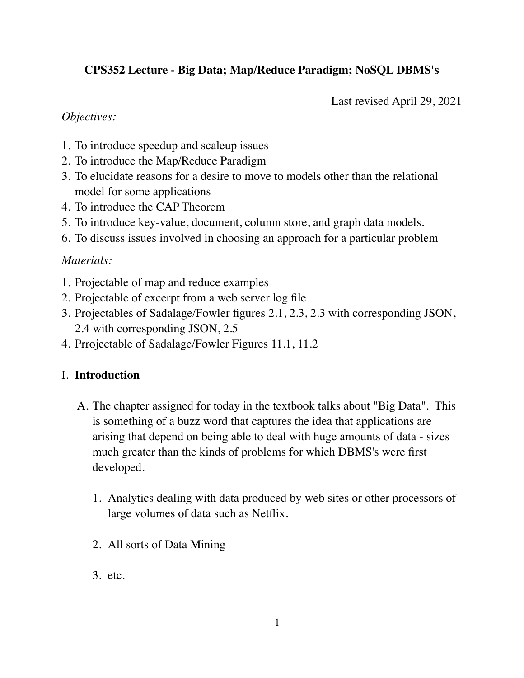# **CPS352 Lecture - Big Data; Map/Reduce Paradigm; NoSQL DBMS's**

Last revised April 29, 2021

### *Objectives:*

- 1. To introduce speedup and scaleup issues
- 2. To introduce the Map/Reduce Paradigm
- 3. To elucidate reasons for a desire to move to models other than the relational model for some applications
- 4. To introduce the CAP Theorem
- 5. To introduce key-value, document, column store, and graph data models.
- 6. To discuss issues involved in choosing an approach for a particular problem

## *Materials:*

- 1. Projectable of map and reduce examples
- 2. Projectable of excerpt from a web server log file
- 3. Projectables of Sadalage/Fowler figures 2.1, 2.3, 2.3 with corresponding JSON, 2.4 with corresponding JSON, 2.5
- 4. Prrojectable of Sadalage/Fowler Figures 11.1, 11.2

# I. **Introduction**

- A. The chapter assigned for today in the textbook talks about "Big Data". This is something of a buzz word that captures the idea that applications are arising that depend on being able to deal with huge amounts of data - sizes much greater than the kinds of problems for which DBMS's were first developed.
	- 1. Analytics dealing with data produced by web sites or other processors of large volumes of data such as Netflix.
	- 2. All sorts of Data Mining
	- 3. etc.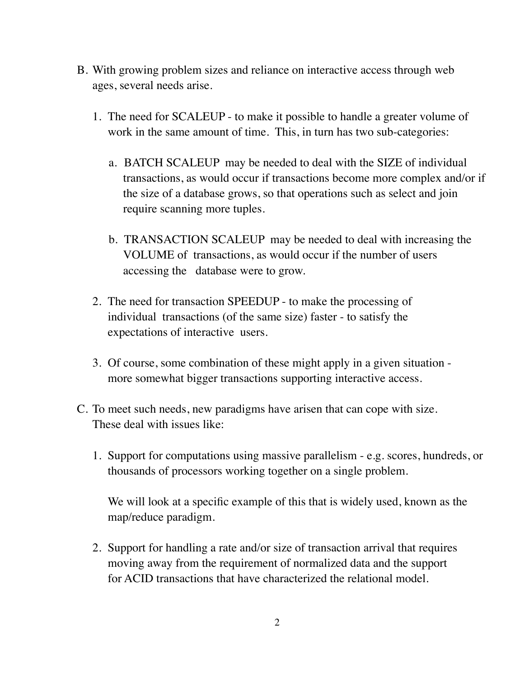- B. With growing problem sizes and reliance on interactive access through web ages, several needs arise.
	- 1. The need for SCALEUP to make it possible to handle a greater volume of work in the same amount of time. This, in turn has two sub-categories:
		- a. BATCH SCALEUP may be needed to deal with the SIZE of individual transactions, as would occur if transactions become more complex and/or if the size of a database grows, so that operations such as select and join require scanning more tuples.
		- b. TRANSACTION SCALEUP may be needed to deal with increasing the VOLUME of transactions, as would occur if the number of users accessing the database were to grow.
	- 2. The need for transaction SPEEDUP to make the processing of individual transactions (of the same size) faster - to satisfy the expectations of interactive users.
	- 3. Of course, some combination of these might apply in a given situation more somewhat bigger transactions supporting interactive access.
- C. To meet such needs, new paradigms have arisen that can cope with size. These deal with issues like:
	- 1. Support for computations using massive parallelism e.g. scores, hundreds, or thousands of processors working together on a single problem.

We will look at a specific example of this that is widely used, known as the map/reduce paradigm.

2. Support for handling a rate and/or size of transaction arrival that requires moving away from the requirement of normalized data and the support for ACID transactions that have characterized the relational model.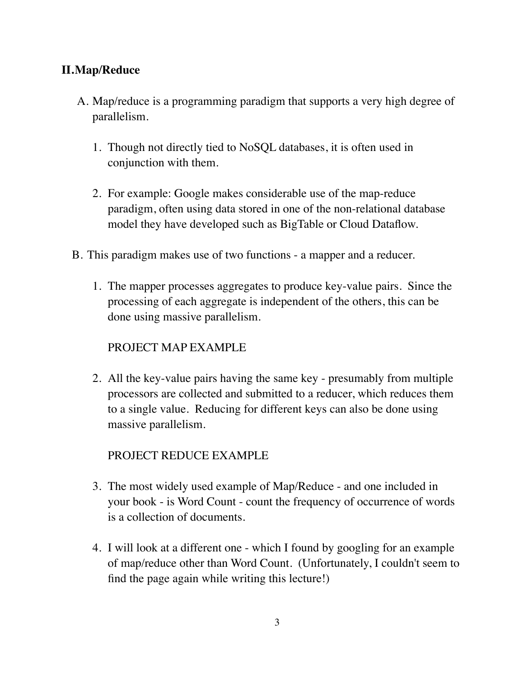# **II.Map/Reduce**

- A. Map/reduce is a programming paradigm that supports a very high degree of parallelism.
	- 1. Though not directly tied to NoSQL databases, it is often used in conjunction with them.
	- 2. For example: Google makes considerable use of the map-reduce paradigm, often using data stored in one of the non-relational database model they have developed such as BigTable or Cloud Dataflow.
- B. This paradigm makes use of two functions a mapper and a reducer.
	- 1. The mapper processes aggregates to produce key-value pairs. Since the processing of each aggregate is independent of the others, this can be done using massive parallelism.

### PROJECT MAP EXAMPLE

2. All the key-value pairs having the same key - presumably from multiple processors are collected and submitted to a reducer, which reduces them to a single value. Reducing for different keys can also be done using massive parallelism.

### PROJECT REDUCE EXAMPLE

- 3. The most widely used example of Map/Reduce and one included in your book - is Word Count - count the frequency of occurrence of words is a collection of documents.
- 4. I will look at a different one which I found by googling for an example of map/reduce other than Word Count. (Unfortunately, I couldn't seem to find the page again while writing this lecture!)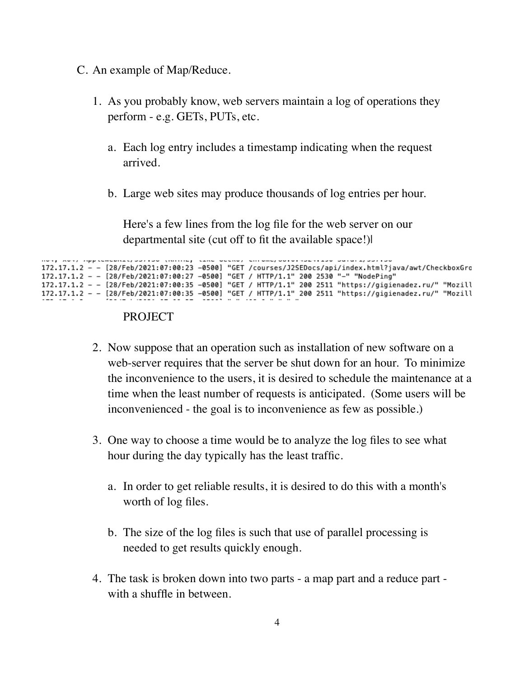- C. An example of Map/Reduce.
	- 1. As you probably know, web servers maintain a log of operations they perform - e.g. GETs, PUTs, etc.
		- a. Each log entry includes a timestamp indicating when the request arrived.
		- b. Large web sites may produce thousands of log entries per hour.

Here's a few lines from the log file for the web server on our departmental site (cut off to fit the available space!)|

```
(noting that eventy to empl
172.17.1.2 - - [28/Feb/2021:07:00:23 -0500] "GET /courses/J2SEDocs/api/index.html?java/awt/CheckboxGro
172.17.1.2 - - [28/Feb/2021:07:00:27 -0500] "GET / HTTP/1.1" 200 2530 "-" "NodePing"<br>172.17.1.2 - - [28/Feb/2021:07:00:35 -0500] "GET / HTTP/1.1" 200 2511 "https://gigienadez.ru/" "Mozill
172.17.1.2 - - [28/Feb/2021:07:00:35 -0500] "GET / HTTP/1.1" 200 2511 "https://gigienadez.ru/" "Mozill<br>172.17.1.2 - - [28/Feb/2021:07:00:35 -0500] "GET / HTTP/1.1" 200 2511 "https://gigienadez.ru/" "Mozill
```
#### **PROJECT**

- 2. Now suppose that an operation such as installation of new software on a web-server requires that the server be shut down for an hour. To minimize the inconvenience to the users, it is desired to schedule the maintenance at a time when the least number of requests is anticipated. (Some users will be inconvenienced - the goal is to inconvenience as few as possible.)
- 3. One way to choose a time would be to analyze the log files to see what hour during the day typically has the least traffic.
	- a. In order to get reliable results, it is desired to do this with a month's worth of log files.
	- b. The size of the log files is such that use of parallel processing is needed to get results quickly enough.
- 4. The task is broken down into two parts a map part and a reduce part with a shuffle in between.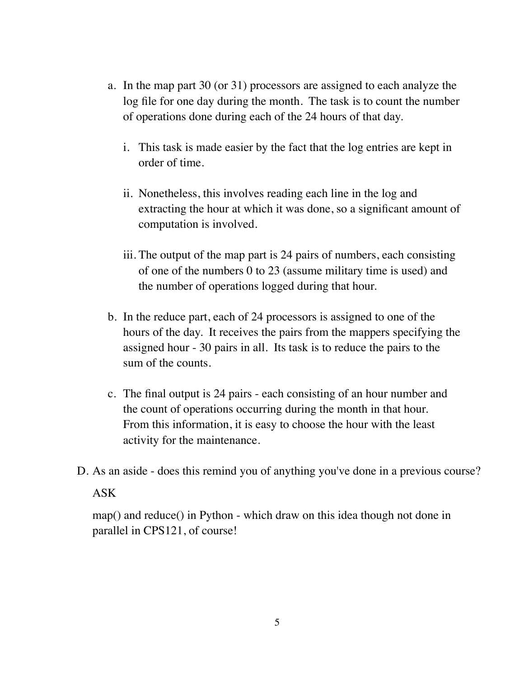- a. In the map part 30 (or 31) processors are assigned to each analyze the log file for one day during the month. The task is to count the number of operations done during each of the 24 hours of that day.
	- i. This task is made easier by the fact that the log entries are kept in order of time.
	- ii. Nonetheless, this involves reading each line in the log and extracting the hour at which it was done, so a significant amount of computation is involved.
	- iii. The output of the map part is 24 pairs of numbers, each consisting of one of the numbers 0 to 23 (assume military time is used) and the number of operations logged during that hour.
- b. In the reduce part, each of 24 processors is assigned to one of the hours of the day. It receives the pairs from the mappers specifying the assigned hour - 30 pairs in all. Its task is to reduce the pairs to the sum of the counts.
- c. The final output is 24 pairs each consisting of an hour number and the count of operations occurring during the month in that hour. From this information, it is easy to choose the hour with the least activity for the maintenance.
- D. As an aside does this remind you of anything you've done in a previous course?

#### ASK

map() and reduce() in Python - which draw on this idea though not done in parallel in CPS121, of course!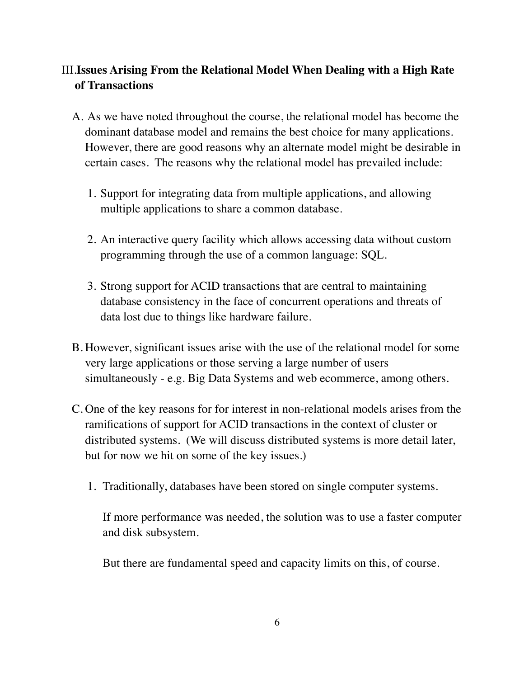# III.**Issues Arising From the Relational Model When Dealing with a High Rate of Transactions**

- A. As we have noted throughout the course, the relational model has become the dominant database model and remains the best choice for many applications. However, there are good reasons why an alternate model might be desirable in certain cases. The reasons why the relational model has prevailed include:
	- 1. Support for integrating data from multiple applications, and allowing multiple applications to share a common database.
	- 2. An interactive query facility which allows accessing data without custom programming through the use of a common language: SQL.
	- 3. Strong support for ACID transactions that are central to maintaining database consistency in the face of concurrent operations and threats of data lost due to things like hardware failure.
- B. However, significant issues arise with the use of the relational model for some very large applications or those serving a large number of users simultaneously - e.g. Big Data Systems and web ecommerce, among others.
- C. One of the key reasons for for interest in non-relational models arises from the ramifications of support for ACID transactions in the context of cluster or distributed systems. (We will discuss distributed systems is more detail later, but for now we hit on some of the key issues.)
	- 1. Traditionally, databases have been stored on single computer systems.

If more performance was needed, the solution was to use a faster computer and disk subsystem.

But there are fundamental speed and capacity limits on this, of course.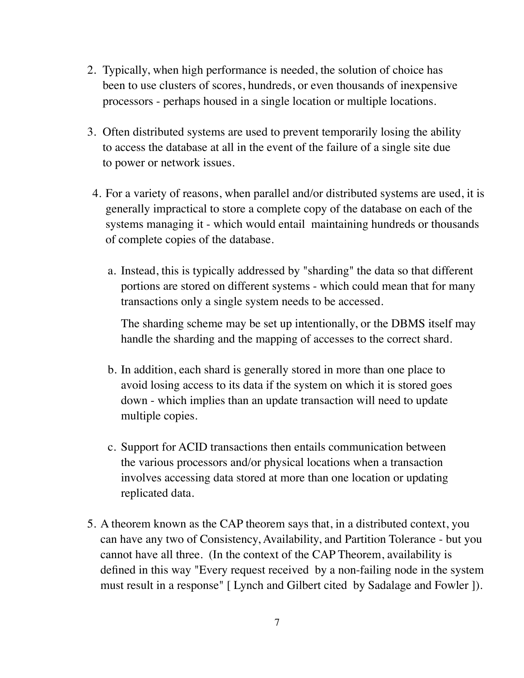- 2. Typically, when high performance is needed, the solution of choice has been to use clusters of scores, hundreds, or even thousands of inexpensive processors - perhaps housed in a single location or multiple locations.
- 3. Often distributed systems are used to prevent temporarily losing the ability to access the database at all in the event of the failure of a single site due to power or network issues.
- 4. For a variety of reasons, when parallel and/or distributed systems are used, it is generally impractical to store a complete copy of the database on each of the systems managing it - which would entail maintaining hundreds or thousands of complete copies of the database.
	- a. Instead, this is typically addressed by "sharding" the data so that different portions are stored on different systems - which could mean that for many transactions only a single system needs to be accessed.

The sharding scheme may be set up intentionally, or the DBMS itself may handle the sharding and the mapping of accesses to the correct shard.

- b. In addition, each shard is generally stored in more than one place to avoid losing access to its data if the system on which it is stored goes down - which implies than an update transaction will need to update multiple copies.
- c. Support for ACID transactions then entails communication between the various processors and/or physical locations when a transaction involves accessing data stored at more than one location or updating replicated data.
- 5. A theorem known as the CAP theorem says that, in a distributed context, you can have any two of Consistency, Availability, and Partition Tolerance - but you cannot have all three. (In the context of the CAP Theorem, availability is defined in this way "Every request received by a non-failing node in the system must result in a response" [ Lynch and Gilbert cited by Sadalage and Fowler ]).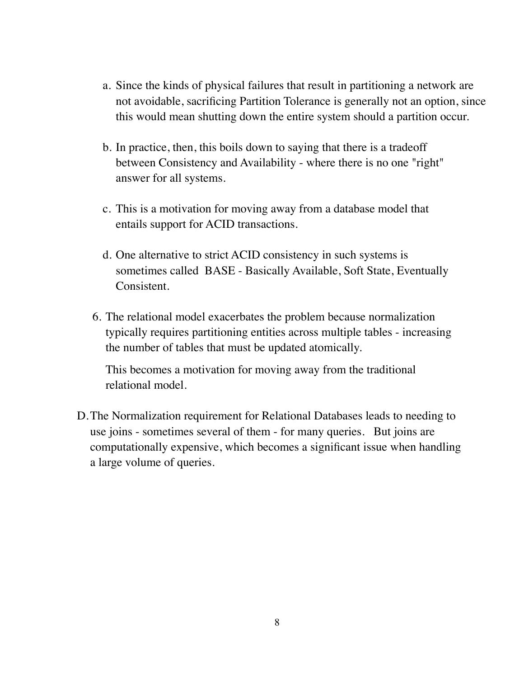- a. Since the kinds of physical failures that result in partitioning a network are not avoidable, sacrificing Partition Tolerance is generally not an option, since this would mean shutting down the entire system should a partition occur.
- b. In practice, then, this boils down to saying that there is a tradeoff between Consistency and Availability - where there is no one "right" answer for all systems.
- c. This is a motivation for moving away from a database model that entails support for ACID transactions.
- d. One alternative to strict ACID consistency in such systems is sometimes called BASE - Basically Available, Soft State, Eventually Consistent.
- 6. The relational model exacerbates the problem because normalization typically requires partitioning entities across multiple tables - increasing the number of tables that must be updated atomically.

This becomes a motivation for moving away from the traditional relational model.

D.The Normalization requirement for Relational Databases leads to needing to use joins - sometimes several of them - for many queries. But joins are computationally expensive, which becomes a significant issue when handling a large volume of queries.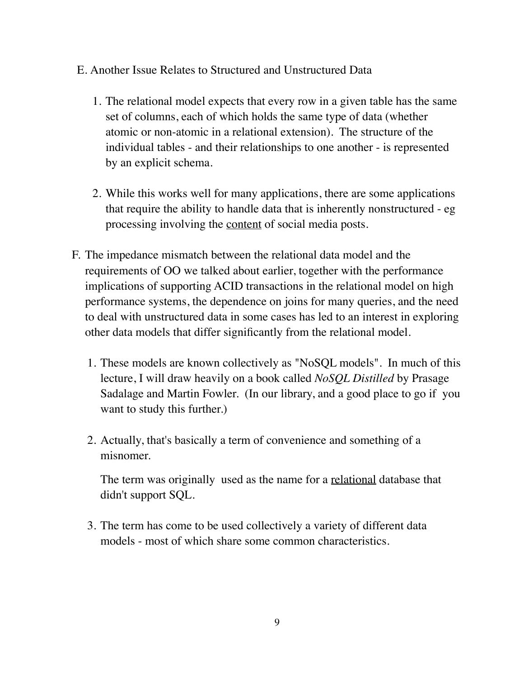- E. Another Issue Relates to Structured and Unstructured Data
	- 1. The relational model expects that every row in a given table has the same set of columns, each of which holds the same type of data (whether atomic or non-atomic in a relational extension). The structure of the individual tables - and their relationships to one another - is represented by an explicit schema.
	- 2. While this works well for many applications, there are some applications that require the ability to handle data that is inherently nonstructured - eg processing involving the content of social media posts.
- F. The impedance mismatch between the relational data model and the requirements of OO we talked about earlier, together with the performance implications of supporting ACID transactions in the relational model on high performance systems, the dependence on joins for many queries, and the need to deal with unstructured data in some cases has led to an interest in exploring other data models that differ significantly from the relational model.
	- 1. These models are known collectively as "NoSQL models". In much of this lecture, I will draw heavily on a book called *NoSQL Distilled* by Prasage Sadalage and Martin Fowler. (In our library, and a good place to go if you want to study this further.)
	- 2. Actually, that's basically a term of convenience and something of a misnomer.

The term was originally used as the name for a <u>relational</u> database that didn't support SQL.

3. The term has come to be used collectively a variety of different data models - most of which share some common characteristics.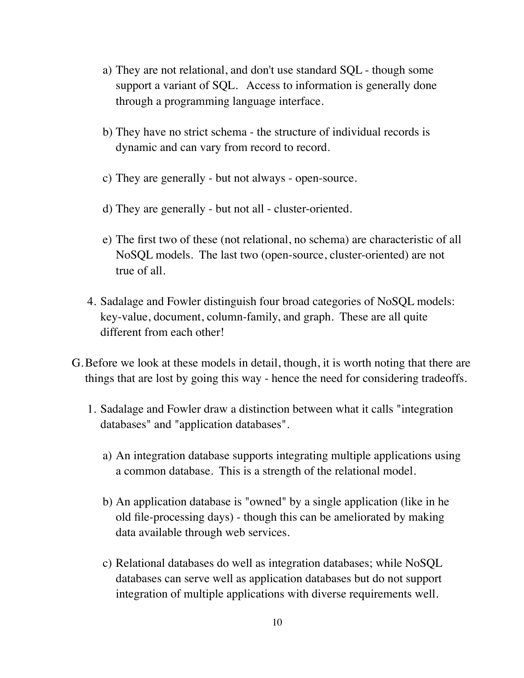- a) They are not relational, and don't use standard SQL though some support a variant of SQL. Access to information is generally done through a programming language interface.
- b) They have no strict schema the structure of individual records is dynamic and can vary from record to record.
- c) They are generally but not always open-source.
- d) They are generally but not all cluster-oriented.
- e) The first two of these (not relational, no schema) are characteristic of all NoSQL models. The last two (open-source, cluster-oriented) are not true of all.
- 4. Sadalage and Fowler distinguish four broad categories of NoSQL models: key-value, document, column-family, and graph. These are all quite different from each other!
- G.Before we look at these models in detail, though, it is worth noting that there are things that are lost by going this way - hence the need for considering tradeoffs.
	- 1. Sadalage and Fowler draw a distinction between what it calls "integration databases" and "application databases".
		- a) An integration database supports integrating multiple applications using a common database. This is a strength of the relational model.
		- b) An application database is "owned" by a single application (like in he old file-processing days) - though this can be ameliorated by making data available through web services.
		- c) Relational databases do well as integration databases; while NoSQL databases can serve well as application databases but do not support integration of multiple applications with diverse requirements well.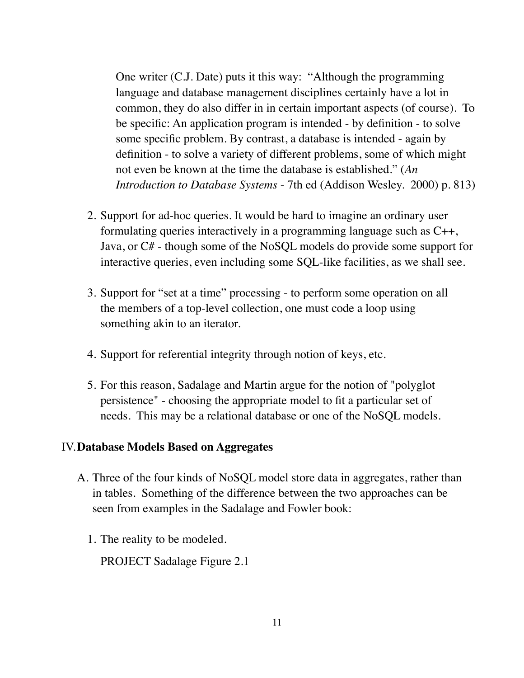One writer (C.J. Date) puts it this way: "Although the programming language and database management disciplines certainly have a lot in common, they do also differ in in certain important aspects (of course). To be specific: An application program is intended - by definition - to solve some specific problem. By contrast, a database is intended - again by definition - to solve a variety of different problems, some of which might not even be known at the time the database is established." (*An Introduction to Database Systems* - 7th ed (Addison Wesley. 2000) p. 813)

- 2. Support for ad-hoc queries. It would be hard to imagine an ordinary user formulating queries interactively in a programming language such as C++, Java, or C# - though some of the NoSQL models do provide some support for interactive queries, even including some SQL-like facilities, as we shall see.
- 3. Support for "set at a time" processing to perform some operation on all the members of a top-level collection, one must code a loop using something akin to an iterator.
- 4. Support for referential integrity through notion of keys, etc.
- 5. For this reason, Sadalage and Martin argue for the notion of "polyglot persistence" - choosing the appropriate model to fit a particular set of needs. This may be a relational database or one of the NoSQL models.

#### IV.**Database Models Based on Aggregates**

- A. Three of the four kinds of NoSQL model store data in aggregates, rather than in tables. Something of the difference between the two approaches can be seen from examples in the Sadalage and Fowler book:
	- 1. The reality to be modeled.

PROJECT Sadalage Figure 2.1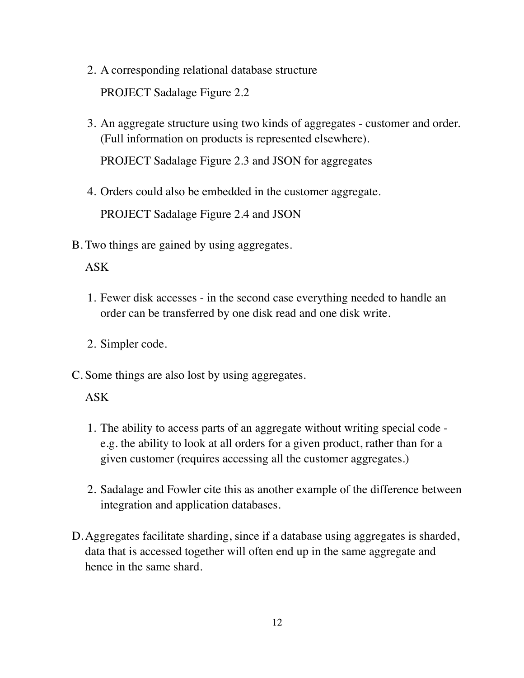- 2. A corresponding relational database structure PROJECT Sadalage Figure 2.2
- 3. An aggregate structure using two kinds of aggregates customer and order. (Full information on products is represented elsewhere).

PROJECT Sadalage Figure 2.3 and JSON for aggregates

- 4. Orders could also be embedded in the customer aggregate. PROJECT Sadalage Figure 2.4 and JSON
- B. Two things are gained by using aggregates.

### ASK

- 1. Fewer disk accesses in the second case everything needed to handle an order can be transferred by one disk read and one disk write.
- 2. Simpler code.
- C. Some things are also lost by using aggregates.

### ASK

- 1. The ability to access parts of an aggregate without writing special code e.g. the ability to look at all orders for a given product, rather than for a given customer (requires accessing all the customer aggregates.)
- 2. Sadalage and Fowler cite this as another example of the difference between integration and application databases.
- D.Aggregates facilitate sharding, since if a database using aggregates is sharded, data that is accessed together will often end up in the same aggregate and hence in the same shard.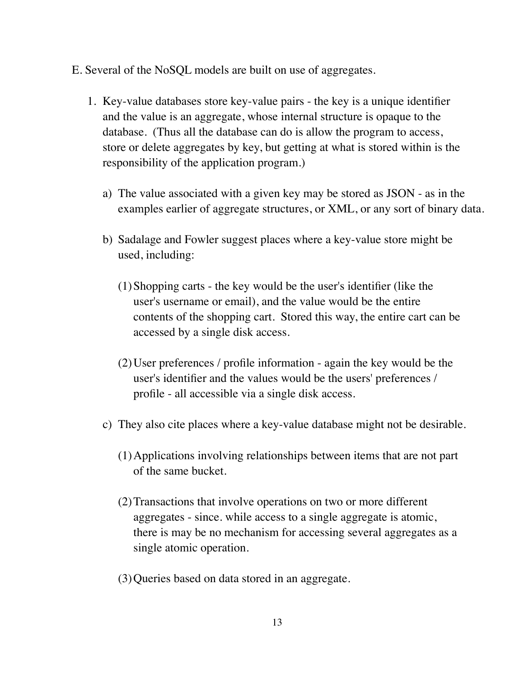- E. Several of the NoSQL models are built on use of aggregates.
	- 1. Key-value databases store key-value pairs the key is a unique identifier and the value is an aggregate, whose internal structure is opaque to the database. (Thus all the database can do is allow the program to access, store or delete aggregates by key, but getting at what is stored within is the responsibility of the application program.)
		- a) The value associated with a given key may be stored as JSON as in the examples earlier of aggregate structures, or XML, or any sort of binary data.
		- b) Sadalage and Fowler suggest places where a key-value store might be used, including:
			- (1)Shopping carts the key would be the user's identifier (like the user's username or email), and the value would be the entire contents of the shopping cart. Stored this way, the entire cart can be accessed by a single disk access.
			- (2)User preferences / profile information again the key would be the user's identifier and the values would be the users' preferences / profile - all accessible via a single disk access.
		- c) They also cite places where a key-value database might not be desirable.
			- (1)Applications involving relationships between items that are not part of the same bucket.
			- (2)Transactions that involve operations on two or more different aggregates - since. while access to a single aggregate is atomic, there is may be no mechanism for accessing several aggregates as a single atomic operation.
			- (3)Queries based on data stored in an aggregate.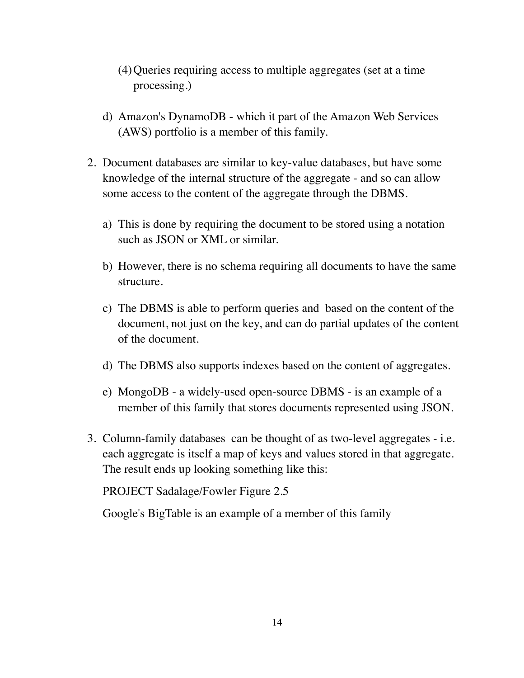- (4)Queries requiring access to multiple aggregates (set at a time processing.)
- d) Amazon's DynamoDB which it part of the Amazon Web Services (AWS) portfolio is a member of this family.
- 2. Document databases are similar to key-value databases, but have some knowledge of the internal structure of the aggregate - and so can allow some access to the content of the aggregate through the DBMS.
	- a) This is done by requiring the document to be stored using a notation such as JSON or XML or similar.
	- b) However, there is no schema requiring all documents to have the same structure.
	- c) The DBMS is able to perform queries and based on the content of the document, not just on the key, and can do partial updates of the content of the document.
	- d) The DBMS also supports indexes based on the content of aggregates.
	- e) MongoDB a widely-used open-source DBMS is an example of a member of this family that stores documents represented using JSON.
- 3. Column-family databases can be thought of as two-level aggregates i.e. each aggregate is itself a map of keys and values stored in that aggregate. The result ends up looking something like this:

PROJECT Sadalage/Fowler Figure 2.5

Google's BigTable is an example of a member of this family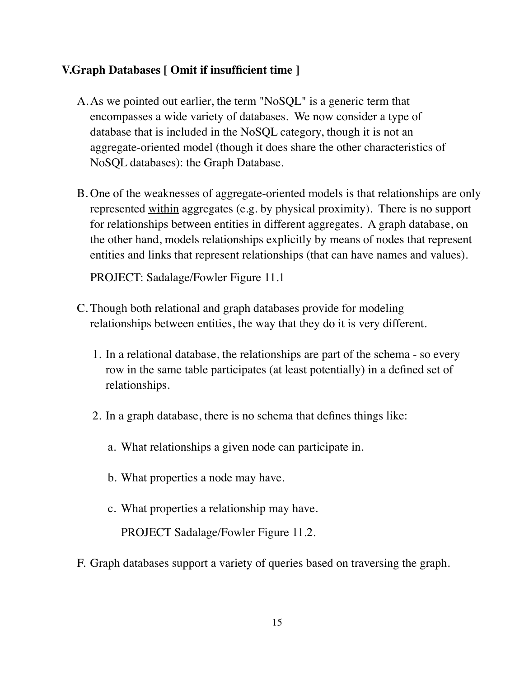## **V.Graph Databases [ Omit if insufficient time ]**

- A.As we pointed out earlier, the term "NoSQL" is a generic term that encompasses a wide variety of databases. We now consider a type of database that is included in the NoSQL category, though it is not an aggregate-oriented model (though it does share the other characteristics of NoSQL databases): the Graph Database.
- B. One of the weaknesses of aggregate-oriented models is that relationships are only represented within aggregates (e.g. by physical proximity). There is no support for relationships between entities in different aggregates. A graph database, on the other hand, models relationships explicitly by means of nodes that represent entities and links that represent relationships (that can have names and values).

PROJECT: Sadalage/Fowler Figure 11.1

- C. Though both relational and graph databases provide for modeling relationships between entities, the way that they do it is very different.
	- 1. In a relational database, the relationships are part of the schema so every row in the same table participates (at least potentially) in a defined set of relationships.
	- 2. In a graph database, there is no schema that defines things like:
		- a. What relationships a given node can participate in.
		- b. What properties a node may have.
		- c. What properties a relationship may have.

PROJECT Sadalage/Fowler Figure 11.2.

F. Graph databases support a variety of queries based on traversing the graph.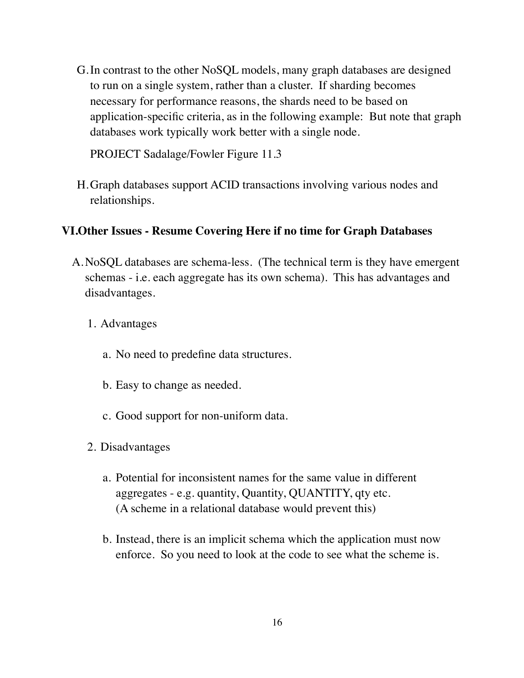G.In contrast to the other NoSQL models, many graph databases are designed to run on a single system, rather than a cluster. If sharding becomes necessary for performance reasons, the shards need to be based on application-specific criteria, as in the following example: But note that graph databases work typically work better with a single node.

PROJECT Sadalage/Fowler Figure 11.3

H.Graph databases support ACID transactions involving various nodes and relationships.

### **VI.Other Issues - Resume Covering Here if no time for Graph Databases**

- A.NoSQL databases are schema-less. (The technical term is they have emergent schemas - i.e. each aggregate has its own schema). This has advantages and disadvantages.
	- 1. Advantages
		- a. No need to predefine data structures.
		- b. Easy to change as needed.
		- c. Good support for non-uniform data.
	- 2. Disadvantages
		- a. Potential for inconsistent names for the same value in different aggregates - e.g. quantity, Quantity, QUANTITY, qty etc. (A scheme in a relational database would prevent this)
		- b. Instead, there is an implicit schema which the application must now enforce. So you need to look at the code to see what the scheme is.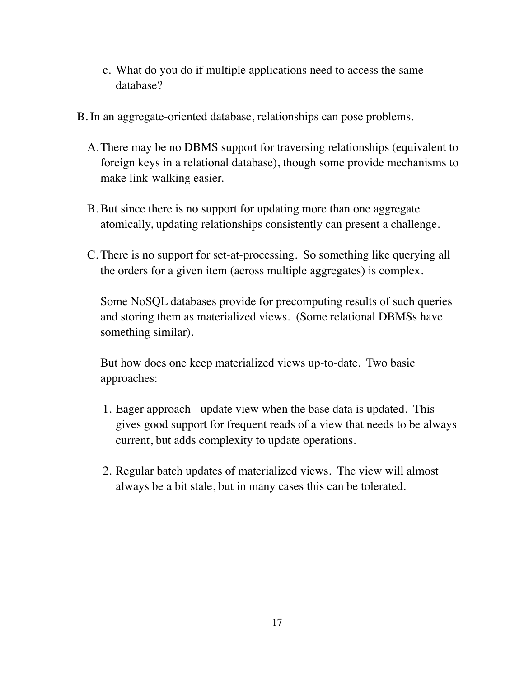- c. What do you do if multiple applications need to access the same database?
- B. In an aggregate-oriented database, relationships can pose problems.
	- A.There may be no DBMS support for traversing relationships (equivalent to foreign keys in a relational database), though some provide mechanisms to make link-walking easier.
	- B. But since there is no support for updating more than one aggregate atomically, updating relationships consistently can present a challenge.
	- C. There is no support for set-at-processing. So something like querying all the orders for a given item (across multiple aggregates) is complex.

Some NoSQL databases provide for precomputing results of such queries and storing them as materialized views. (Some relational DBMSs have something similar).

But how does one keep materialized views up-to-date. Two basic approaches:

- 1. Eager approach update view when the base data is updated. This gives good support for frequent reads of a view that needs to be always current, but adds complexity to update operations.
- 2. Regular batch updates of materialized views. The view will almost always be a bit stale, but in many cases this can be tolerated.